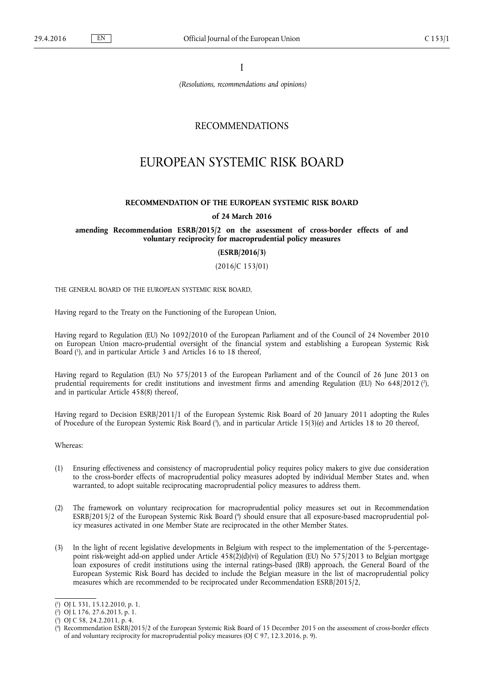I

*(Resolutions, recommendations and opinions)*

# RECOMMENDATIONS

# EUROPEAN SYSTEMIC RISK BOARD

#### **RECOMMENDATION OF THE EUROPEAN SYSTEMIC RISK BOARD**

#### **of 24 March 2016**

## **amending Recommendation ESRB/2015/2 on the assessment of cross-border effects of and voluntary reciprocity for macroprudential policy measures**

**(ESRB/2016/3)**

(2016/C 153/01)

THE GENERAL BOARD OF THE EUROPEAN SYSTEMIC RISK BOARD,

Having regard to the Treaty on the Functioning of the European Union,

Having regard to Regulation (EU) No 1092/2010 of the European Parliament and of the Council of 24 November 2010 on European Union macro-prudential oversight of the financial system and establishing a European Systemic Risk Board ( 1 ), and in particular Article 3 and Articles 16 to 18 thereof,

Having regard to Regulation (EU) No 575/2013 of the European Parliament and of the Council of 26 June 2013 on prudential requirements for credit institutions and investment firms and amending Regulation (EU) No 648/2012 (?), and in particular Article 458(8) thereof,

Having regard to Decision ESRB/2011/1 of the European Systemic Risk Board of 20 January 2011 adopting the Rules of Procedure of the European Systemic Risk Board ( 3 ), and in particular Article 15(3)(e) and Articles 18 to 20 thereof,

Whereas:

- (1) Ensuring effectiveness and consistency of macroprudential policy requires policy makers to give due consideration to the cross-border effects of macroprudential policy measures adopted by individual Member States and, when warranted, to adopt suitable reciprocating macroprudential policy measures to address them.
- (2) The framework on voluntary reciprocation for macroprudential policy measures set out in Recommendation ESRB/2015/2 of the European Systemic Risk Board ( 4 ) should ensure that all exposure-based macroprudential policy measures activated in one Member State are reciprocated in the other Member States.
- (3) In the light of recent legislative developments in Belgium with respect to the implementation of the 5-percentagepoint risk-weight add-on applied under Article 458(2)(d)(vi) of Regulation (EU) No 575/2013 to Belgian mortgage loan exposures of credit institutions using the internal ratings-based (IRB) approach, the General Board of the European Systemic Risk Board has decided to include the Belgian measure in the list of macroprudential policy measures which are recommended to be reciprocated under Recommendation ESRB/2015/2,

<sup>(</sup> 1 ) OJ L 331, 15.12.2010, p. 1.

<sup>(</sup> 2 ) OJ L 176, 27.6.2013, p. 1.

<sup>(</sup> 3 ) OJ C 58, 24.2.2011, p. 4.

<sup>(</sup> 4 ) Recommendation ESRB/2015/2 of the European Systemic Risk Board of 15 December 2015 on the assessment of cross-border effects of and voluntary reciprocity for macroprudential policy measures (OJ C 97, 12.3.2016, p. 9).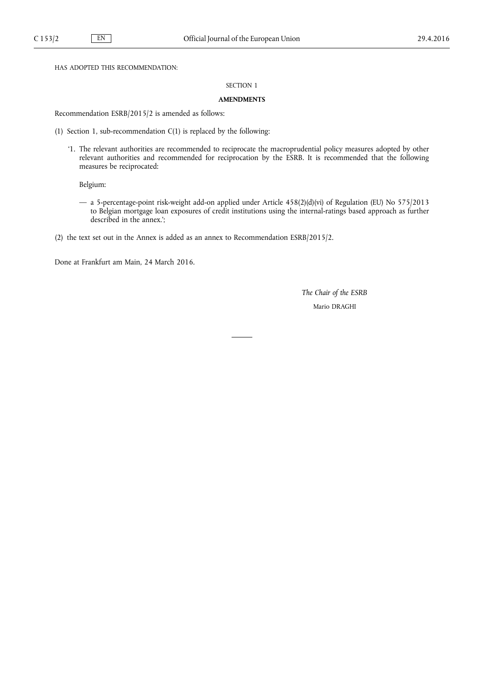HAS ADOPTED THIS RECOMMENDATION:

# SECTION 1

## **AMENDMENTS**

Recommendation ESRB/2015/2 is amended as follows:

- (1) Section 1, sub-recommendation C(1) is replaced by the following:
	- '1. The relevant authorities are recommended to reciprocate the macroprudential policy measures adopted by other relevant authorities and recommended for reciprocation by the ESRB. It is recommended that the following measures be reciprocated:

Belgium:

- a 5-percentage-point risk-weight add-on applied under Article 458(2)(d)(vi) of Regulation (EU) No 575/2013 to Belgian mortgage loan exposures of credit institutions using the internal-ratings based approach as further described in the annex.';
- (2) the text set out in the Annex is added as an annex to Recommendation ESRB/2015/2.

Done at Frankfurt am Main, 24 March 2016.

*The Chair of the ESRB* Mario DRAGHI